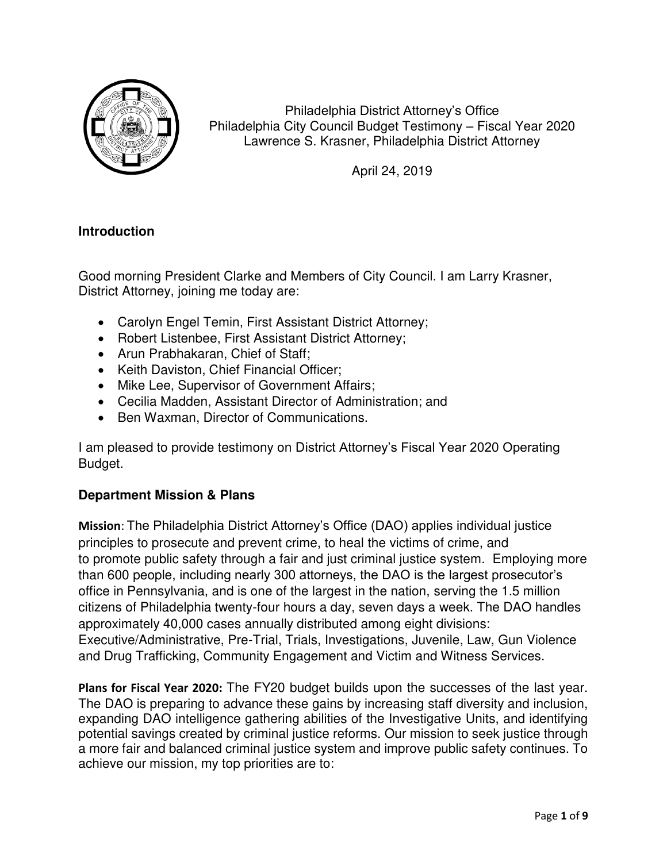

Philadelphia District Attorney's Office Philadelphia City Council Budget Testimony – Fiscal Year 2020 Lawrence S. Krasner, Philadelphia District Attorney

April 24, 2019

# **Introduction**

Good morning President Clarke and Members of City Council. I am Larry Krasner, District Attorney, joining me today are:

- Carolyn Engel Temin, First Assistant District Attorney;
- Robert Listenbee, First Assistant District Attorney;
- Arun Prabhakaran, Chief of Staff;
- Keith Daviston, Chief Financial Officer;
- Mike Lee, Supervisor of Government Affairs;
- Cecilia Madden, Assistant Director of Administration; and
- Ben Waxman, Director of Communications.

I am pleased to provide testimony on District Attorney's Fiscal Year 2020 Operating Budget.

# **Department Mission & Plans**

**Mission**: The Philadelphia District Attorney's Office (DAO) applies individual justice principles to prosecute and prevent crime, to heal the victims of crime, and to promote public safety through a fair and just criminal justice system. Employing more than 600 people, including nearly 300 attorneys, the DAO is the largest prosecutor's office in Pennsylvania, and is one of the largest in the nation, serving the 1.5 million citizens of Philadelphia twenty-four hours a day, seven days a week. The DAO handles approximately 40,000 cases annually distributed among eight divisions: Executive/Administrative, Pre-Trial, Trials, Investigations, Juvenile, Law, Gun Violence and Drug Trafficking, Community Engagement and Victim and Witness Services.

**Plans for Fiscal Year 2020:** The FY20 budget builds upon the successes of the last year. The DAO is preparing to advance these gains by increasing staff diversity and inclusion, expanding DAO intelligence gathering abilities of the Investigative Units, and identifying potential savings created by criminal justice reforms. Our mission to seek justice through a more fair and balanced criminal justice system and improve public safety continues. To achieve our mission, my top priorities are to: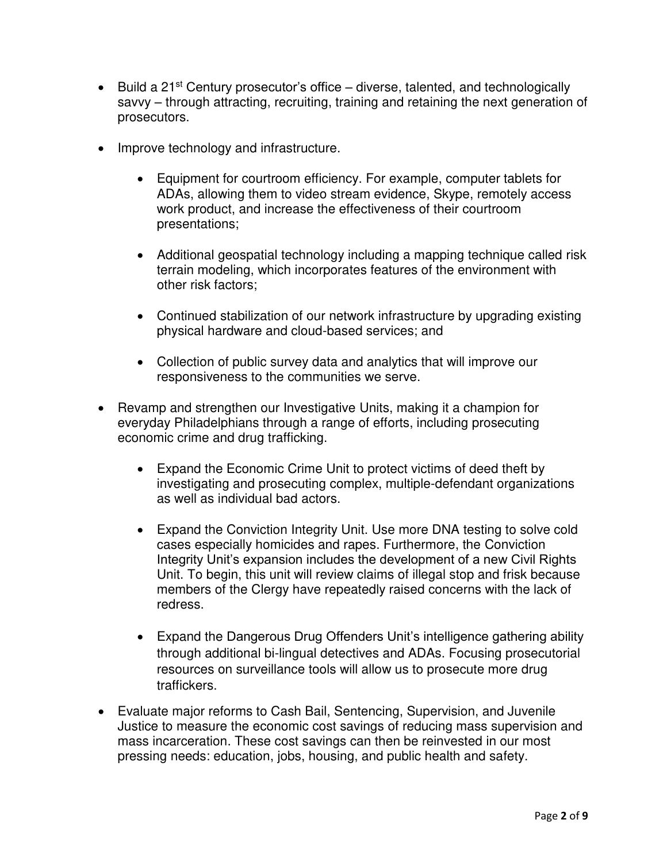- Euild a 21<sup>st</sup> Century prosecutor's office diverse, talented, and technologically savvy – through attracting, recruiting, training and retaining the next generation of prosecutors.
- Improve technology and infrastructure.
	- Equipment for courtroom efficiency. For example, computer tablets for ADAs, allowing them to video stream evidence, Skype, remotely access work product, and increase the effectiveness of their courtroom presentations;
	- Additional geospatial technology including a mapping technique called risk terrain modeling, which incorporates features of the environment with other risk factors;
	- Continued stabilization of our network infrastructure by upgrading existing physical hardware and cloud-based services; and
	- Collection of public survey data and analytics that will improve our responsiveness to the communities we serve.
- Revamp and strengthen our Investigative Units, making it a champion for everyday Philadelphians through a range of efforts, including prosecuting economic crime and drug trafficking.
	- Expand the Economic Crime Unit to protect victims of deed theft by investigating and prosecuting complex, multiple-defendant organizations as well as individual bad actors.
	- Expand the Conviction Integrity Unit. Use more DNA testing to solve cold cases especially homicides and rapes. Furthermore, the Conviction Integrity Unit's expansion includes the development of a new Civil Rights Unit. To begin, this unit will review claims of illegal stop and frisk because members of the Clergy have repeatedly raised concerns with the lack of redress.
	- Expand the Dangerous Drug Offenders Unit's intelligence gathering ability through additional bi-lingual detectives and ADAs. Focusing prosecutorial resources on surveillance tools will allow us to prosecute more drug traffickers.
- Evaluate major reforms to Cash Bail, Sentencing, Supervision, and Juvenile Justice to measure the economic cost savings of reducing mass supervision and mass incarceration. These cost savings can then be reinvested in our most pressing needs: education, jobs, housing, and public health and safety.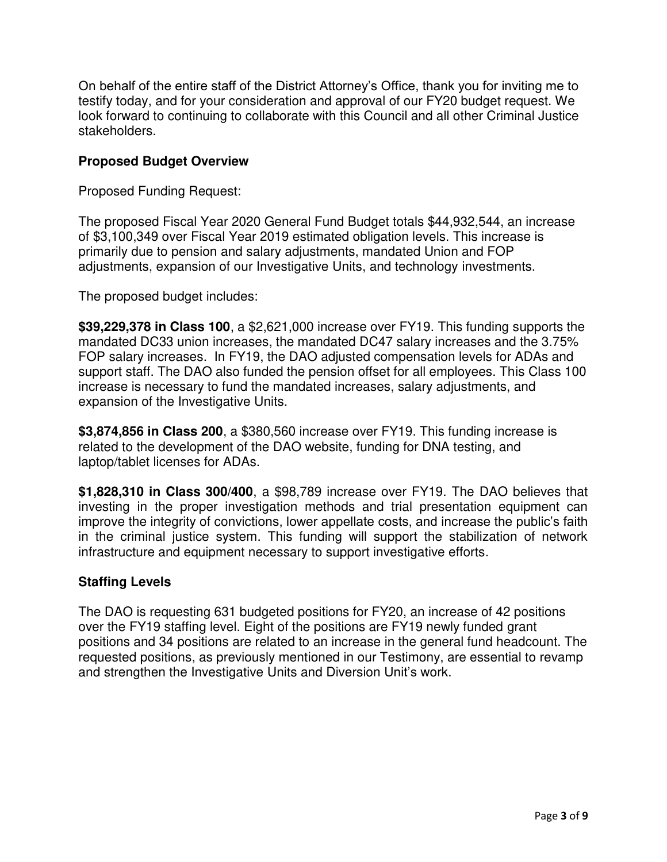On behalf of the entire staff of the District Attorney's Office, thank you for inviting me to testify today, and for your consideration and approval of our FY20 budget request. We look forward to continuing to collaborate with this Council and all other Criminal Justice stakeholders.

## **Proposed Budget Overview**

Proposed Funding Request:

The proposed Fiscal Year 2020 General Fund Budget totals \$44,932,544, an increase of \$3,100,349 over Fiscal Year 2019 estimated obligation levels. This increase is primarily due to pension and salary adjustments, mandated Union and FOP adjustments, expansion of our Investigative Units, and technology investments.

The proposed budget includes:

**\$39,229,378 in Class 100**, a \$2,621,000 increase over FY19. This funding supports the mandated DC33 union increases, the mandated DC47 salary increases and the 3.75% FOP salary increases. In FY19, the DAO adjusted compensation levels for ADAs and support staff. The DAO also funded the pension offset for all employees. This Class 100 increase is necessary to fund the mandated increases, salary adjustments, and expansion of the Investigative Units.

**\$3,874,856 in Class 200**, a \$380,560 increase over FY19. This funding increase is related to the development of the DAO website, funding for DNA testing, and laptop/tablet licenses for ADAs.

**\$1,828,310 in Class 300/400**, a \$98,789 increase over FY19. The DAO believes that investing in the proper investigation methods and trial presentation equipment can improve the integrity of convictions, lower appellate costs, and increase the public's faith in the criminal justice system. This funding will support the stabilization of network infrastructure and equipment necessary to support investigative efforts.

#### **Staffing Levels**

The DAO is requesting 631 budgeted positions for FY20, an increase of 42 positions over the FY19 staffing level. Eight of the positions are FY19 newly funded grant positions and 34 positions are related to an increase in the general fund headcount. The requested positions, as previously mentioned in our Testimony, are essential to revamp and strengthen the Investigative Units and Diversion Unit's work.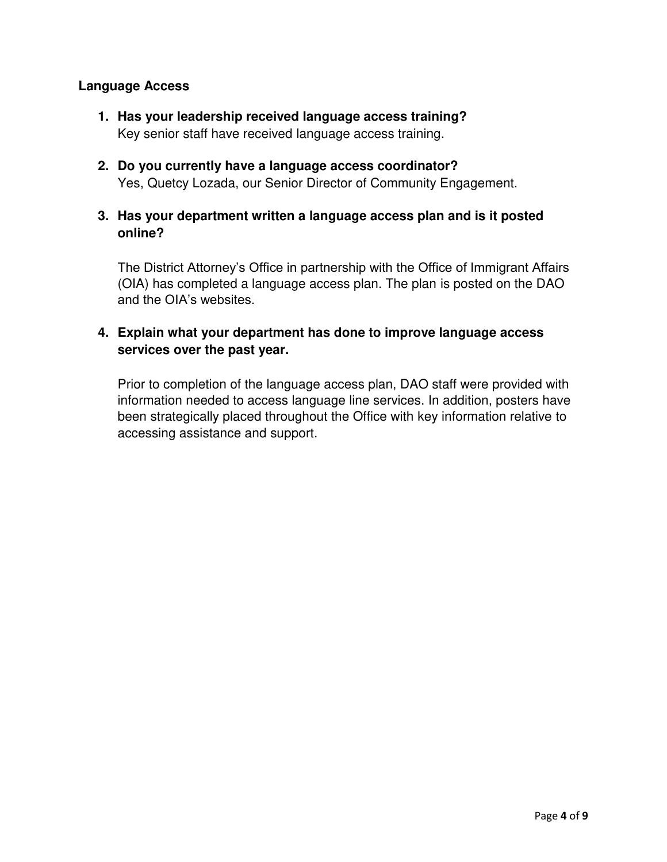## **Language Access**

- **1. Has your leadership received language access training?**  Key senior staff have received language access training.
- **2. Do you currently have a language access coordinator?**  Yes, Quetcy Lozada, our Senior Director of Community Engagement.
- **3. Has your department written a language access plan and is it posted online?**

The District Attorney's Office in partnership with the Office of Immigrant Affairs (OIA) has completed a language access plan. The plan is posted on the DAO and the OIA's websites.

# **4. Explain what your department has done to improve language access services over the past year.**

Prior to completion of the language access plan, DAO staff were provided with information needed to access language line services. In addition, posters have been strategically placed throughout the Office with key information relative to accessing assistance and support.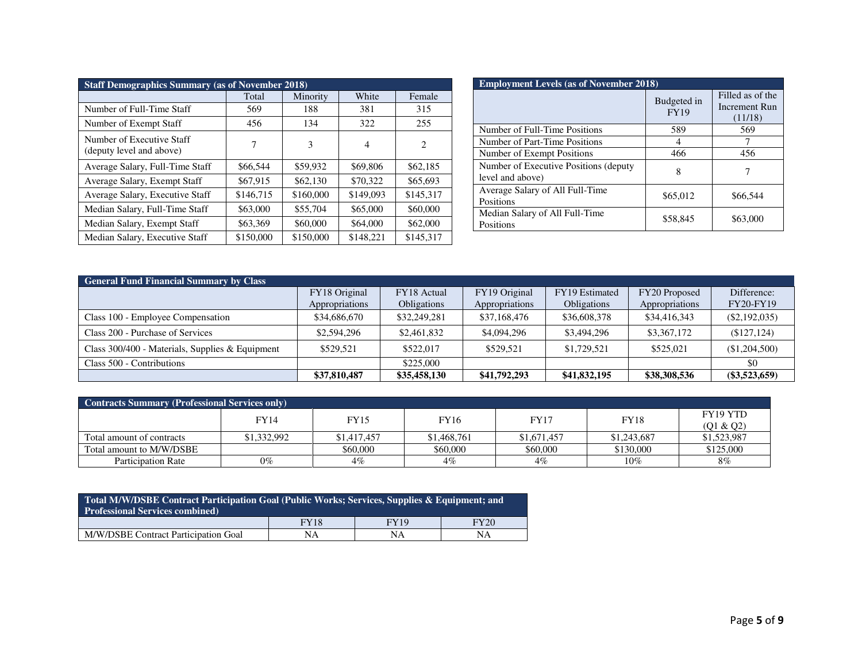| <b>Staff Demographics Summary (as of November 2018)</b> |           |           |                |           |  |  |  |  |  |  |
|---------------------------------------------------------|-----------|-----------|----------------|-----------|--|--|--|--|--|--|
|                                                         | Total     | Minority  | White          | Female    |  |  |  |  |  |  |
| Number of Full-Time Staff                               | 569       | 188       | 381            | 315       |  |  |  |  |  |  |
| Number of Exempt Staff                                  | 456       | 134       | 322            | 255       |  |  |  |  |  |  |
| Number of Executive Staff<br>(deputy level and above)   | 7         | 3         | $\overline{4}$ | 2         |  |  |  |  |  |  |
| Average Salary, Full-Time Staff                         | \$66,544  | \$59,932  | \$69,806       | \$62,185  |  |  |  |  |  |  |
| Average Salary, Exempt Staff                            | \$67,915  | \$62,130  | \$70,322       | \$65,693  |  |  |  |  |  |  |
| Average Salary, Executive Staff                         | \$146,715 | \$160,000 | \$149,093      | \$145,317 |  |  |  |  |  |  |
| Median Salary, Full-Time Staff                          | \$63,000  | \$55,704  | \$65,000       | \$60,000  |  |  |  |  |  |  |
| Median Salary, Exempt Staff                             | \$63,369  | \$60,000  | \$64,000       | \$62,000  |  |  |  |  |  |  |
| Median Salary, Executive Staff                          | \$150,000 | \$150,000 | \$148.221      | \$145.317 |  |  |  |  |  |  |

| <b>Employment Levels (as of November 2018)</b>             |                            |                                              |  |  |  |  |  |  |  |
|------------------------------------------------------------|----------------------------|----------------------------------------------|--|--|--|--|--|--|--|
|                                                            | Budgeted in<br><b>FY19</b> | Filled as of the<br>Increment Run<br>(11/18) |  |  |  |  |  |  |  |
| Number of Full-Time Positions                              | 589                        | 569                                          |  |  |  |  |  |  |  |
| Number of Part-Time Positions                              |                            |                                              |  |  |  |  |  |  |  |
| Number of Exempt Positions                                 | 466                        | 456                                          |  |  |  |  |  |  |  |
| Number of Executive Positions (deputy)<br>level and above) | 8                          |                                              |  |  |  |  |  |  |  |
| Average Salary of All Full-Time<br>Positions               | \$65,012                   | \$66,544                                     |  |  |  |  |  |  |  |
| Median Salary of All Full-Time<br>Positions                | \$58,845                   | \$63,000                                     |  |  |  |  |  |  |  |

| <b>General Fund Financial Summary by Class</b>  |                |                    |                |                    |                |                  |  |  |  |  |  |
|-------------------------------------------------|----------------|--------------------|----------------|--------------------|----------------|------------------|--|--|--|--|--|
|                                                 | FY18 Original  | FY18 Actual        | FY19 Original  | FY19 Estimated     | FY20 Proposed  | Difference:      |  |  |  |  |  |
|                                                 | Appropriations | <b>Obligations</b> | Appropriations | <b>Obligations</b> | Appropriations | <b>FY20-FY19</b> |  |  |  |  |  |
| Class 100 - Employee Compensation               | \$34,686,670   | \$32,249,281       | \$37,168,476   | \$36,608,378       | \$34,416,343   | $(\$2,192,035)$  |  |  |  |  |  |
| Class 200 - Purchase of Services                | \$2,594,296    | \$2,461,832        | \$4,094,296    | \$3,494,296        | \$3,367,172    | (\$127,124)      |  |  |  |  |  |
| Class 300/400 - Materials, Supplies & Equipment | \$529,521      | \$522,017          | \$529.521      | \$1.729.521        | \$525,021      | (\$1,204,500)    |  |  |  |  |  |
| Class 500 - Contributions                       |                | \$225,000          |                |                    |                | \$0              |  |  |  |  |  |
|                                                 | \$37,810,487   | \$35,458,130       | \$41,792,293   | \$41,832,195       | \$38,308,536   | $(\$3,523,659)$  |  |  |  |  |  |

| Contracts Summary (Professional Services only) |             |             |             |             |             |                       |  |  |  |  |  |
|------------------------------------------------|-------------|-------------|-------------|-------------|-------------|-----------------------|--|--|--|--|--|
|                                                | <b>FY14</b> | <b>FY15</b> | <b>FY16</b> | <b>FY17</b> | <b>FY18</b> | FY19 YTD<br>(Q1 & Q2) |  |  |  |  |  |
| Total amount of contracts                      | \$1,332,992 | \$1,417,457 | \$1,468,761 | \$1,671,457 | \$1,243,687 | \$1,523,987           |  |  |  |  |  |
| Total amount to M/W/DSBE                       |             | \$60,000    | \$60,000    | \$60,000    | \$130,000   | \$125,000             |  |  |  |  |  |
| <b>Participation Rate</b>                      | $0\%$       | $4\%$       | 4%          | $4\%$       | $10\%$      | $8\%$                 |  |  |  |  |  |

| Total M/W/DSBE Contract Participation Goal (Public Works; Services, Supplies & Equipment; and<br><b>Professional Services combined)</b> |                             |    |    |  |  |  |  |  |  |  |
|-----------------------------------------------------------------------------------------------------------------------------------------|-----------------------------|----|----|--|--|--|--|--|--|--|
|                                                                                                                                         | <b>FY18</b><br>FY20<br>FY19 |    |    |  |  |  |  |  |  |  |
| M/W/DSBE Contract Participation Goal                                                                                                    | NA                          | NΑ | NA |  |  |  |  |  |  |  |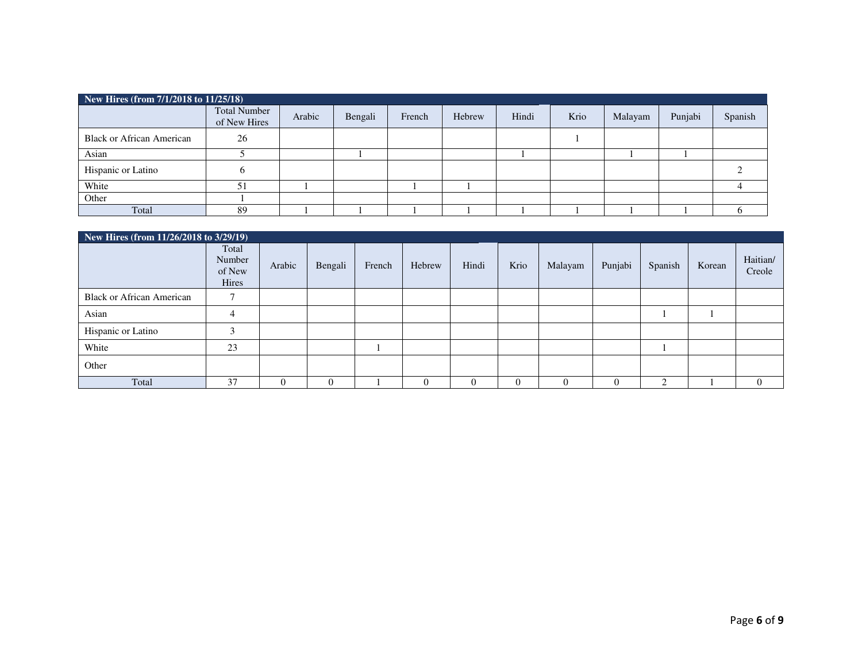| New Hires (from 7/1/2018 to 11/25/18) |                                     |        |         |        |        |       |      |         |         |         |  |  |
|---------------------------------------|-------------------------------------|--------|---------|--------|--------|-------|------|---------|---------|---------|--|--|
|                                       | <b>Total Number</b><br>of New Hires | Arabic | Bengali | French | Hebrew | Hindi | Krio | Malayam | Punjabi | Spanish |  |  |
| <b>Black or African American</b>      | 26                                  |        |         |        |        |       |      |         |         |         |  |  |
| Asian                                 |                                     |        |         |        |        |       |      |         |         |         |  |  |
| Hispanic or Latino                    |                                     |        |         |        |        |       |      |         |         |         |  |  |
| White                                 | 51                                  |        |         |        |        |       |      |         |         |         |  |  |
| Other                                 |                                     |        |         |        |        |       |      |         |         |         |  |  |
| Total                                 | 89                                  |        |         |        |        |       |      |         |         |         |  |  |

| New Hires (from $11/26/2018$ to $3/29/19$ ) |                                    |        |         |        |        |       |          |          |         |         |        |                    |
|---------------------------------------------|------------------------------------|--------|---------|--------|--------|-------|----------|----------|---------|---------|--------|--------------------|
|                                             | Total<br>Number<br>of New<br>Hires | Arabic | Bengali | French | Hebrew | Hindi | Krio     | Malayam  | Punjabi | Spanish | Korean | Haitian/<br>Creole |
| <b>Black or African American</b>            |                                    |        |         |        |        |       |          |          |         |         |        |                    |
| Asian                                       | 4                                  |        |         |        |        |       |          |          |         |         |        |                    |
| Hispanic or Latino                          |                                    |        |         |        |        |       |          |          |         |         |        |                    |
| White                                       | 23                                 |        |         |        |        |       |          |          |         |         |        |                    |
| Other                                       |                                    |        |         |        |        |       |          |          |         |         |        |                    |
| Total                                       | 37                                 |        | 0       |        |        |       | $\theta$ | $\Omega$ |         |         |        | $\Omega$           |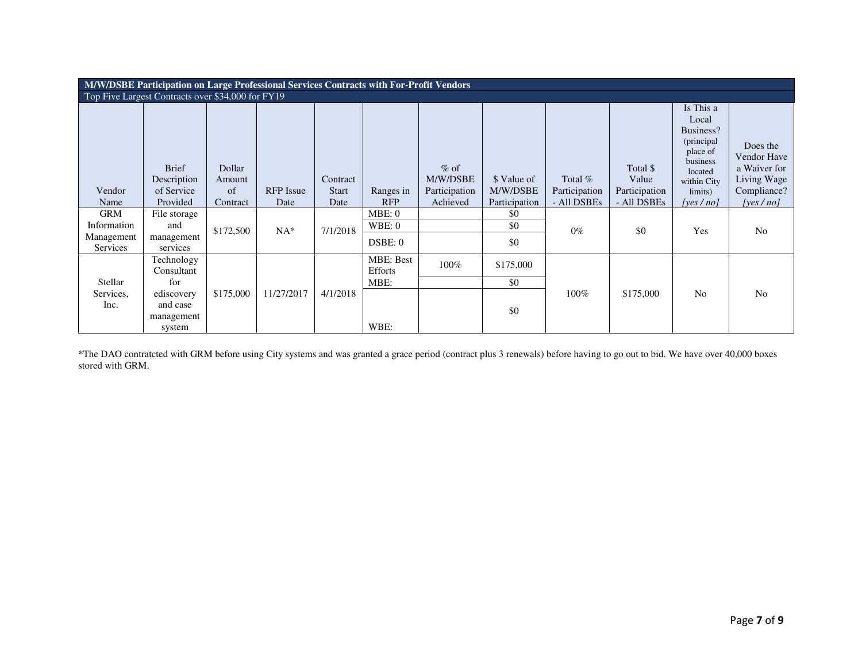|                                                   | M/W/DSBE Participation on Large Professional Services Contracts with For-Profit Vendors |           |                  |              |                  |               |               |               |               |                      |                |  |  |
|---------------------------------------------------|-----------------------------------------------------------------------------------------|-----------|------------------|--------------|------------------|---------------|---------------|---------------|---------------|----------------------|----------------|--|--|
| Top Five Largest Contracts over \$34,000 for FY19 |                                                                                         |           |                  |              |                  |               |               |               |               |                      |                |  |  |
|                                                   |                                                                                         |           |                  |              |                  |               |               |               |               | Is This a            |                |  |  |
|                                                   |                                                                                         |           |                  |              |                  |               |               |               |               | Local                |                |  |  |
|                                                   |                                                                                         |           |                  |              |                  |               |               |               |               | Business?            |                |  |  |
|                                                   |                                                                                         |           |                  |              |                  |               |               |               |               | (principal           | Does the       |  |  |
|                                                   |                                                                                         |           |                  |              |                  |               |               |               |               | place of<br>business | Vendor Have    |  |  |
|                                                   | <b>Brief</b>                                                                            | Dollar    |                  |              |                  | $%$ of        |               |               | Total \$      | located              | a Waiver for   |  |  |
|                                                   | Description                                                                             | Amount    |                  | Contract     |                  | M/W/DSBE      | \$ Value of   | Total %       | Value         | within City          | Living Wage    |  |  |
| Vendor                                            | of Service                                                                              | of        | <b>RFP</b> Issue | <b>Start</b> | Ranges in        | Participation | M/W/DSBE      | Participation | Participation | limits)              | Compliance?    |  |  |
| Name                                              | Provided                                                                                | Contract  | Date             | Date         | <b>RFP</b>       | Achieved      | Participation | - All DSBEs   | - All DSBEs   | [yes/no]             | [yes $/no$ ]   |  |  |
| <b>GRM</b>                                        | File storage                                                                            |           |                  |              | MBE: 0           |               | \$0           |               |               |                      |                |  |  |
| Information                                       | and                                                                                     | \$172,500 | $NA^*$           | 7/1/2018     | WBE:0            |               | \$0           | $0\%$         | \$0           | Yes                  | No             |  |  |
| Management                                        | management                                                                              |           |                  |              | DSBE: 0          |               | \$0           |               |               |                      |                |  |  |
| Services                                          | services                                                                                |           |                  |              |                  |               |               |               |               |                      |                |  |  |
|                                                   | Technology                                                                              |           |                  |              | <b>MBE: Best</b> | 100%          | \$175,000     |               |               |                      |                |  |  |
|                                                   | Consultant                                                                              |           |                  |              | Efforts          |               |               |               |               |                      |                |  |  |
| Stellar                                           | for                                                                                     |           |                  |              | MBE:             |               | \$0           |               |               |                      |                |  |  |
| Services,                                         | ediscovery                                                                              | \$175,000 | 11/27/2017       | 4/1/2018     |                  |               |               | 100%          | \$175,000     | N <sub>0</sub>       | N <sub>0</sub> |  |  |
| Inc.                                              | and case                                                                                |           |                  |              |                  |               | \$0           |               |               |                      |                |  |  |
|                                                   | management                                                                              |           |                  |              |                  |               |               |               |               |                      |                |  |  |
|                                                   | system                                                                                  |           |                  |              | WBE:             |               |               |               |               |                      |                |  |  |

\*The DAO contratcted with GRM before using City systems and was granted a grace period (contract plus 3 renewals) before having to go out to bid. We have over 40,000 boxes stored with GRM.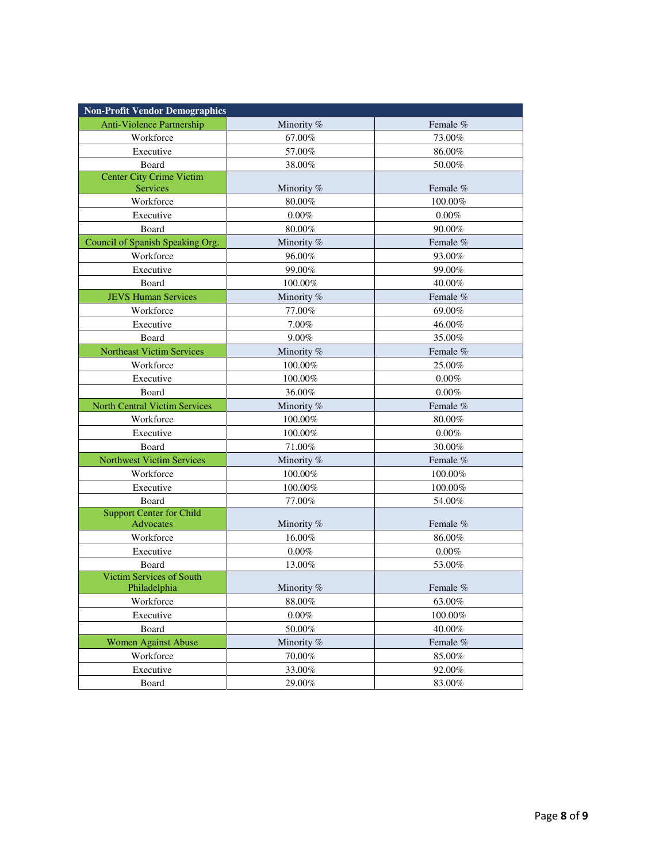| <b>Non-Profit Vendor Demographics</b> |                      |          |
|---------------------------------------|----------------------|----------|
| Anti-Violence Partnership             | Minority %           | Female % |
| Workforce                             | 67.00%               | 73.00%   |
| Executive                             | 57.00%               | 86.00%   |
| Board                                 | 38.00%               | 50.00%   |
| <b>Center City Crime Victim</b>       |                      |          |
| Services                              | Minority %           | Female % |
| Workforce                             | 80.00%               | 100.00%  |
| Executive                             | $0.00\%$             | 0.00%    |
| Board                                 | 80.00%               | 90.00%   |
| Council of Spanish Speaking Org.      | Minority %           | Female % |
| Workforce                             | 96.00%               | 93.00%   |
| Executive                             | 99.00%               | 99.00%   |
| Board                                 | 100.00%              | 40.00%   |
| <b>JEVS Human Services</b>            | Minority %           | Female % |
| Workforce                             | 77.00%               | 69.00%   |
| Executive                             | 7.00%                | 46.00%   |
| Board                                 | 9.00%                | 35.00%   |
| <b>Northeast Victim Services</b>      | Minority %           | Female % |
| Workforce                             | 100.00%              | 25.00%   |
| Executive                             | 100.00%              | 0.00%    |
| Board                                 | 36.00%               | $0.00\%$ |
| <b>North Central Victim Services</b>  | Minority %           | Female % |
| Workforce                             | 100.00%              | 80.00%   |
| Executive                             | 100.00%              | 0.00%    |
| Board                                 | 71.00%               | 30.00%   |
| <b>Northwest Victim Services</b>      | Minority %           | Female % |
| Workforce                             | 100.00%              | 100.00%  |
| Executive                             | 100.00%              | 100.00%  |
| Board                                 | 77.00%               | 54.00%   |
| <b>Support Center for Child</b>       |                      |          |
| Advocates                             | Minority %           | Female % |
| Workforce                             | 16.00%               | 86.00%   |
| Executive                             | $0.00\%$             | $0.00\%$ |
| Board                                 | 13.00%               | 53.00%   |
| <b>Victim Services of South</b>       |                      |          |
| Philadelphia<br>Workforce             | Minority %<br>88.00% | Female % |
|                                       |                      | 63.00%   |
| Executive                             | 0.00%                | 100.00%  |
| Board<br><b>Women Against Abuse</b>   | 50.00%               | 40.00%   |
|                                       | Minority %           | Female % |
| Workforce                             | 70.00%               | 85.00%   |
| Executive                             | 33.00%               | 92.00%   |
| Board                                 | 29.00%               | 83.00%   |